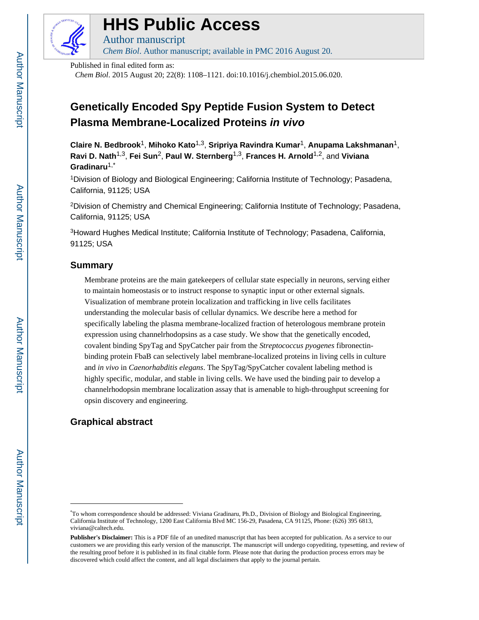

# **HHS Public Access**

Author manuscript *Chem Biol*. Author manuscript; available in PMC 2016 August 20.

Published in final edited form as:

*Chem Biol*. 2015 August 20; 22(8): 1108–1121. doi:10.1016/j.chembiol.2015.06.020.

## **Genetically Encoded Spy Peptide Fusion System to Detect Plasma Membrane-Localized Proteins in vivo**

**Claire N. Bedbrook**1, **Mihoko Kato**1,3, **Sripriya Ravindra Kumar**1, **Anupama Lakshmanan**1, **Ravi D. Nath**1,3, **Fei Sun**2, **Paul W. Sternberg**1,3, **Frances H. Arnold**1,2, and **Viviana Gradinaru**1,\*

<sup>1</sup>Division of Biology and Biological Engineering; California Institute of Technology; Pasadena, California, 91125; USA

<sup>2</sup>Division of Chemistry and Chemical Engineering; California Institute of Technology; Pasadena, California, 91125; USA

<sup>3</sup>Howard Hughes Medical Institute; California Institute of Technology; Pasadena, California, 91125; USA

## **Summary**

Membrane proteins are the main gatekeepers of cellular state especially in neurons, serving either to maintain homeostasis or to instruct response to synaptic input or other external signals. Visualization of membrane protein localization and trafficking in live cells facilitates understanding the molecular basis of cellular dynamics. We describe here a method for specifically labeling the plasma membrane-localized fraction of heterologous membrane protein expression using channelrhodopsins as a case study. We show that the genetically encoded, covalent binding SpyTag and SpyCatcher pair from the *Streptococcus pyogenes* fibronectinbinding protein FbaB can selectively label membrane-localized proteins in living cells in culture and *in vivo* in *Caenorhabditis elegans*. The SpyTag/SpyCatcher covalent labeling method is highly specific, modular, and stable in living cells. We have used the binding pair to develop a channelrhodopsin membrane localization assay that is amenable to high-throughput screening for opsin discovery and engineering.

## **Graphical abstract**

<sup>\*</sup>To whom correspondence should be addressed: Viviana Gradinaru, Ph.D., Division of Biology and Biological Engineering, California Institute of Technology, 1200 East California Blvd MC 156-29, Pasadena, CA 91125, Phone: (626) 395 6813, viviana@caltech.edu.

**Publisher's Disclaimer:** This is a PDF file of an unedited manuscript that has been accepted for publication. As a service to our customers we are providing this early version of the manuscript. The manuscript will undergo copyediting, typesetting, and review of the resulting proof before it is published in its final citable form. Please note that during the production process errors may be discovered which could affect the content, and all legal disclaimers that apply to the journal pertain.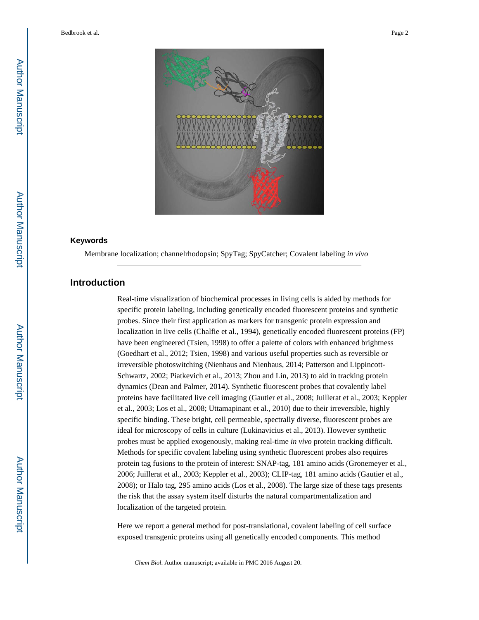

#### **Keywords**

Membrane localization; channelrhodopsin; SpyTag; SpyCatcher; Covalent labeling *in vivo*

## **Introduction**

Real-time visualization of biochemical processes in living cells is aided by methods for specific protein labeling, including genetically encoded fluorescent proteins and synthetic probes. Since their first application as markers for transgenic protein expression and localization in live cells (Chalfie et al., 1994), genetically encoded fluorescent proteins (FP) have been engineered (Tsien, 1998) to offer a palette of colors with enhanced brightness (Goedhart et al., 2012; Tsien, 1998) and various useful properties such as reversible or irreversible photoswitching (Nienhaus and Nienhaus, 2014; Patterson and Lippincott-Schwartz, 2002; Piatkevich et al., 2013; Zhou and Lin, 2013) to aid in tracking protein dynamics (Dean and Palmer, 2014). Synthetic fluorescent probes that covalently label proteins have facilitated live cell imaging (Gautier et al., 2008; Juillerat et al., 2003; Keppler et al., 2003; Los et al., 2008; Uttamapinant et al., 2010) due to their irreversible, highly specific binding. These bright, cell permeable, spectrally diverse, fluorescent probes are ideal for microscopy of cells in culture (Lukinavicius et al., 2013). However synthetic probes must be applied exogenously, making real-time *in vivo* protein tracking difficult. Methods for specific covalent labeling using synthetic fluorescent probes also requires protein tag fusions to the protein of interest: SNAP-tag, 181 amino acids (Gronemeyer et al., 2006; Juillerat et al., 2003; Keppler et al., 2003); CLIP-tag, 181 amino acids (Gautier et al., 2008); or Halo tag, 295 amino acids (Los et al., 2008). The large size of these tags presents the risk that the assay system itself disturbs the natural compartmentalization and localization of the targeted protein.

Here we report a general method for post-translational, covalent labeling of cell surface exposed transgenic proteins using all genetically encoded components. This method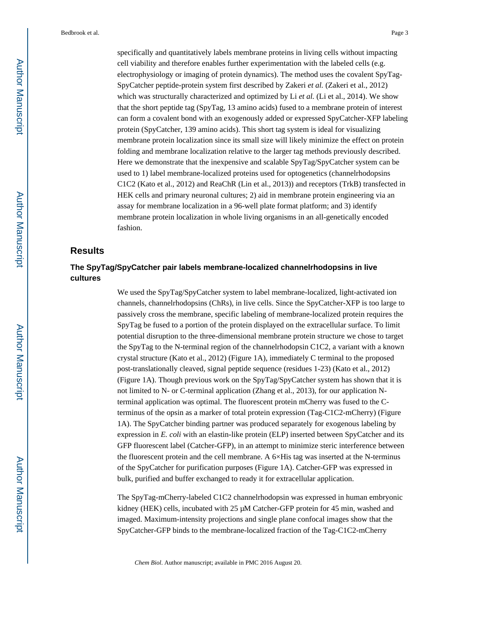specifically and quantitatively labels membrane proteins in living cells without impacting cell viability and therefore enables further experimentation with the labeled cells (e.g. electrophysiology or imaging of protein dynamics). The method uses the covalent SpyTag-SpyCatcher peptide-protein system first described by Zakeri *et al.* (Zakeri et al., 2012) which was structurally characterized and optimized by Li *et al.* (Li et al., 2014). We show that the short peptide tag (SpyTag, 13 amino acids) fused to a membrane protein of interest can form a covalent bond with an exogenously added or expressed SpyCatcher-XFP labeling protein (SpyCatcher, 139 amino acids). This short tag system is ideal for visualizing membrane protein localization since its small size will likely minimize the effect on protein folding and membrane localization relative to the larger tag methods previously described. Here we demonstrate that the inexpensive and scalable SpyTag/SpyCatcher system can be used to 1) label membrane-localized proteins used for optogenetics (channelrhodopsins C1C2 (Kato et al., 2012) and ReaChR (Lin et al., 2013)) and receptors (TrkB) transfected in HEK cells and primary neuronal cultures; 2) aid in membrane protein engineering via an assay for membrane localization in a 96-well plate format platform; and 3) identify membrane protein localization in whole living organisms in an all-genetically encoded fashion.

## **Results**

## **The SpyTag/SpyCatcher pair labels membrane-localized channelrhodopsins in live cultures**

We used the SpyTag/SpyCatcher system to label membrane-localized, light-activated ion channels, channelrhodopsins (ChRs), in live cells. Since the SpyCatcher-XFP is too large to passively cross the membrane, specific labeling of membrane-localized protein requires the SpyTag be fused to a portion of the protein displayed on the extracellular surface. To limit potential disruption to the three-dimensional membrane protein structure we chose to target the SpyTag to the N-terminal region of the channelrhodopsin C1C2, a variant with a known crystal structure (Kato et al., 2012) (Figure 1A), immediately C terminal to the proposed post-translationally cleaved, signal peptide sequence (residues 1-23) (Kato et al., 2012) (Figure 1A). Though previous work on the SpyTag/SpyCatcher system has shown that it is not limited to N- or C-terminal application (Zhang et al., 2013), for our application Nterminal application was optimal. The fluorescent protein mCherry was fused to the Cterminus of the opsin as a marker of total protein expression (Tag-C1C2-mCherry) (Figure 1A). The SpyCatcher binding partner was produced separately for exogenous labeling by expression in *E. coli* with an elastin-like protein (ELP) inserted between SpyCatcher and its GFP fluorescent label (Catcher-GFP), in an attempt to minimize steric interference between the fluorescent protein and the cell membrane. A 6×His tag was inserted at the N-terminus of the SpyCatcher for purification purposes (Figure 1A). Catcher-GFP was expressed in bulk, purified and buffer exchanged to ready it for extracellular application.

The SpyTag-mCherry-labeled C1C2 channelrhodopsin was expressed in human embryonic kidney (HEK) cells, incubated with 25 μM Catcher-GFP protein for 45 min, washed and imaged. Maximum-intensity projections and single plane confocal images show that the SpyCatcher-GFP binds to the membrane-localized fraction of the Tag-C1C2-mCherry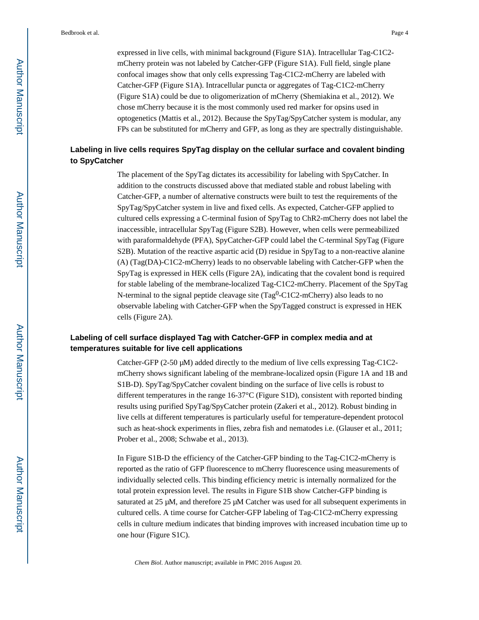expressed in live cells, with minimal background (Figure S1A). Intracellular Tag-C1C2 mCherry protein was not labeled by Catcher-GFP (Figure S1A). Full field, single plane confocal images show that only cells expressing Tag-C1C2-mCherry are labeled with Catcher-GFP (Figure S1A). Intracellular puncta or aggregates of Tag-C1C2-mCherry (Figure S1A) could be due to oligomerization of mCherry (Shemiakina et al., 2012). We chose mCherry because it is the most commonly used red marker for opsins used in optogenetics (Mattis et al., 2012). Because the SpyTag/SpyCatcher system is modular, any FPs can be substituted for mCherry and GFP, as long as they are spectrally distinguishable.

## **Labeling in live cells requires SpyTag display on the cellular surface and covalent binding to SpyCatcher**

The placement of the SpyTag dictates its accessibility for labeling with SpyCatcher. In addition to the constructs discussed above that mediated stable and robust labeling with Catcher-GFP, a number of alternative constructs were built to test the requirements of the SpyTag/SpyCatcher system in live and fixed cells. As expected, Catcher-GFP applied to cultured cells expressing a C-terminal fusion of SpyTag to ChR2-mCherry does not label the inaccessible, intracellular SpyTag (Figure S2B). However, when cells were permeabilized with paraformaldehyde (PFA), SpyCatcher-GFP could label the C-terminal SpyTag (Figure S2B). Mutation of the reactive aspartic acid (D) residue in SpyTag to a non-reactive alanine (A) (Tag(DA)-C1C2-mCherry) leads to no observable labeling with Catcher-GFP when the SpyTag is expressed in HEK cells (Figure 2A), indicating that the covalent bond is required for stable labeling of the membrane-localized Tag-C1C2-mCherry. Placement of the SpyTag N-terminal to the signal peptide cleavage site  $(Tag<sup>0</sup>-ClC2$ -mCherry) also leads to no observable labeling with Catcher-GFP when the SpyTagged construct is expressed in HEK cells (Figure 2A).

## **Labeling of cell surface displayed Tag with Catcher-GFP in complex media and at temperatures suitable for live cell applications**

Catcher-GFP  $(2-50 \mu M)$  added directly to the medium of live cells expressing Tag-C1C2mCherry shows significant labeling of the membrane-localized opsin (Figure 1A and 1B and S1B-D). SpyTag/SpyCatcher covalent binding on the surface of live cells is robust to different temperatures in the range 16-37°C (Figure S1D), consistent with reported binding results using purified SpyTag/SpyCatcher protein (Zakeri et al., 2012). Robust binding in live cells at different temperatures is particularly useful for temperature-dependent protocol such as heat-shock experiments in flies, zebra fish and nematodes i.e. (Glauser et al., 2011; Prober et al., 2008; Schwabe et al., 2013).

In Figure S1B-D the efficiency of the Catcher-GFP binding to the Tag-C1C2-mCherry is reported as the ratio of GFP fluorescence to mCherry fluorescence using measurements of individually selected cells. This binding efficiency metric is internally normalized for the total protein expression level. The results in Figure S1B show Catcher-GFP binding is saturated at 25 μM, and therefore 25 μM Catcher was used for all subsequent experiments in cultured cells. A time course for Catcher-GFP labeling of Tag-C1C2-mCherry expressing cells in culture medium indicates that binding improves with increased incubation time up to one hour (Figure S1C).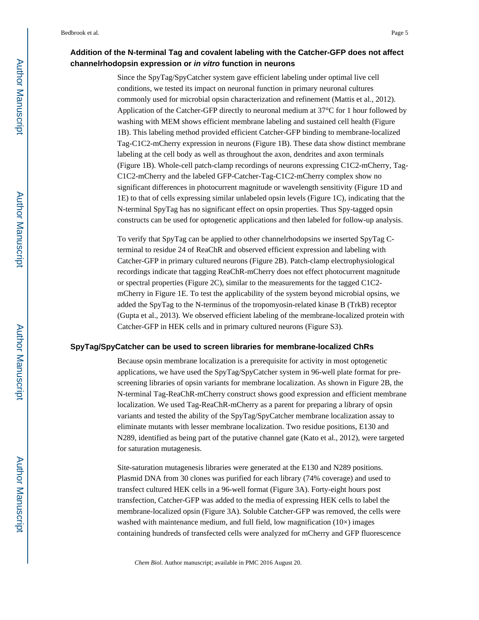## **Addition of the N-terminal Tag and covalent labeling with the Catcher-GFP does not affect channelrhodopsin expression or in vitro function in neurons**

Since the SpyTag/SpyCatcher system gave efficient labeling under optimal live cell conditions, we tested its impact on neuronal function in primary neuronal cultures commonly used for microbial opsin characterization and refinement (Mattis et al., 2012). Application of the Catcher-GFP directly to neuronal medium at 37°C for 1 hour followed by washing with MEM shows efficient membrane labeling and sustained cell health (Figure 1B). This labeling method provided efficient Catcher-GFP binding to membrane-localized Tag-C1C2-mCherry expression in neurons (Figure 1B). These data show distinct membrane labeling at the cell body as well as throughout the axon, dendrites and axon terminals (Figure 1B). Whole-cell patch-clamp recordings of neurons expressing C1C2-mCherry, Tag-C1C2-mCherry and the labeled GFP-Catcher-Tag-C1C2-mCherry complex show no significant differences in photocurrent magnitude or wavelength sensitivity (Figure 1D and 1E) to that of cells expressing similar unlabeled opsin levels (Figure 1C), indicating that the N-terminal SpyTag has no significant effect on opsin properties. Thus Spy-tagged opsin constructs can be used for optogenetic applications and then labeled for follow-up analysis.

To verify that SpyTag can be applied to other channelrhodopsins we inserted SpyTag Cterminal to residue 24 of ReaChR and observed efficient expression and labeling with Catcher-GFP in primary cultured neurons (Figure 2B). Patch-clamp electrophysiological recordings indicate that tagging ReaChR-mCherry does not effect photocurrent magnitude or spectral properties (Figure 2C), similar to the measurements for the tagged C1C2 mCherry in Figure 1E. To test the applicability of the system beyond microbial opsins, we added the SpyTag to the N-terminus of the tropomyosin-related kinase B (TrkB) receptor (Gupta et al., 2013). We observed efficient labeling of the membrane-localized protein with Catcher-GFP in HEK cells and in primary cultured neurons (Figure S3).

#### **SpyTag/SpyCatcher can be used to screen libraries for membrane-localized ChRs**

Because opsin membrane localization is a prerequisite for activity in most optogenetic applications, we have used the SpyTag/SpyCatcher system in 96-well plate format for prescreening libraries of opsin variants for membrane localization. As shown in Figure 2B, the N-terminal Tag-ReaChR-mCherry construct shows good expression and efficient membrane localization. We used Tag-ReaChR-mCherry as a parent for preparing a library of opsin variants and tested the ability of the SpyTag/SpyCatcher membrane localization assay to eliminate mutants with lesser membrane localization. Two residue positions, E130 and N289, identified as being part of the putative channel gate (Kato et al., 2012), were targeted for saturation mutagenesis.

Site-saturation mutagenesis libraries were generated at the E130 and N289 positions. Plasmid DNA from 30 clones was purified for each library (74% coverage) and used to transfect cultured HEK cells in a 96-well format (Figure 3A). Forty-eight hours post transfection, Catcher-GFP was added to the media of expressing HEK cells to label the membrane-localized opsin (Figure 3A). Soluble Catcher-GFP was removed, the cells were washed with maintenance medium, and full field, low magnification  $(10\times)$  images containing hundreds of transfected cells were analyzed for mCherry and GFP fluorescence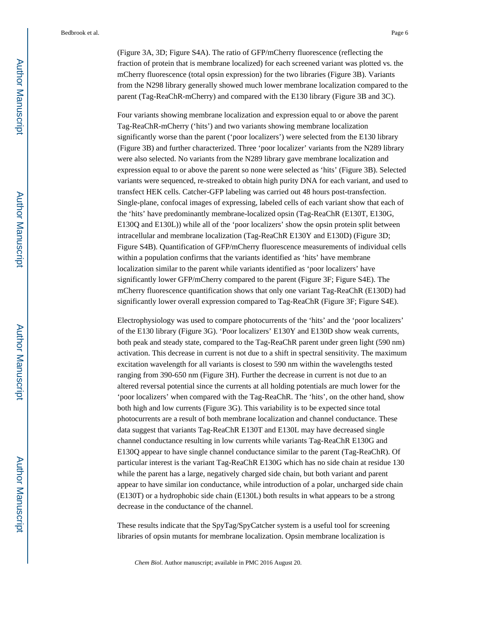(Figure 3A, 3D; Figure S4A). The ratio of GFP/mCherry fluorescence (reflecting the fraction of protein that is membrane localized) for each screened variant was plotted vs. the mCherry fluorescence (total opsin expression) for the two libraries (Figure 3B). Variants from the N298 library generally showed much lower membrane localization compared to the parent (Tag-ReaChR-mCherry) and compared with the E130 library (Figure 3B and 3C).

Four variants showing membrane localization and expression equal to or above the parent Tag-ReaChR-mCherry ('hits') and two variants showing membrane localization significantly worse than the parent ('poor localizers') were selected from the E130 library (Figure 3B) and further characterized. Three 'poor localizer' variants from the N289 library were also selected. No variants from the N289 library gave membrane localization and expression equal to or above the parent so none were selected as 'hits' (Figure 3B). Selected variants were sequenced, re-streaked to obtain high purity DNA for each variant, and used to transfect HEK cells. Catcher-GFP labeling was carried out 48 hours post-transfection. Single-plane, confocal images of expressing, labeled cells of each variant show that each of the 'hits' have predominantly membrane-localized opsin (Tag-ReaChR (E130T, E130G, E130Q and E130L)) while all of the 'poor localizers' show the opsin protein split between intracellular and membrane localization (Tag-ReaChR E130Y and E130D) (Figure 3D; Figure S4B). Quantification of GFP/mCherry fluorescence measurements of individual cells within a population confirms that the variants identified as 'hits' have membrane localization similar to the parent while variants identified as 'poor localizers' have significantly lower GFP/mCherry compared to the parent (Figure 3F; Figure S4E). The mCherry fluorescence quantification shows that only one variant Tag-ReaChR (E130D) had significantly lower overall expression compared to Tag-ReaChR (Figure 3F; Figure S4E).

Electrophysiology was used to compare photocurrents of the 'hits' and the 'poor localizers' of the E130 library (Figure 3G). 'Poor localizers' E130Y and E130D show weak currents, both peak and steady state, compared to the Tag-ReaChR parent under green light (590 nm) activation. This decrease in current is not due to a shift in spectral sensitivity. The maximum excitation wavelength for all variants is closest to 590 nm within the wavelengths tested ranging from 390-650 nm (Figure 3H). Further the decrease in current is not due to an altered reversal potential since the currents at all holding potentials are much lower for the 'poor localizers' when compared with the Tag-ReaChR. The 'hits', on the other hand, show both high and low currents (Figure 3G). This variability is to be expected since total photocurrents are a result of both membrane localization and channel conductance. These data suggest that variants Tag-ReaChR E130T and E130L may have decreased single channel conductance resulting in low currents while variants Tag-ReaChR E130G and E130Q appear to have single channel conductance similar to the parent (Tag-ReaChR). Of particular interest is the variant Tag-ReaChR E130G which has no side chain at residue 130 while the parent has a large, negatively charged side chain, but both variant and parent appear to have similar ion conductance, while introduction of a polar, uncharged side chain (E130T) or a hydrophobic side chain (E130L) both results in what appears to be a strong decrease in the conductance of the channel.

These results indicate that the SpyTag/SpyCatcher system is a useful tool for screening libraries of opsin mutants for membrane localization. Opsin membrane localization is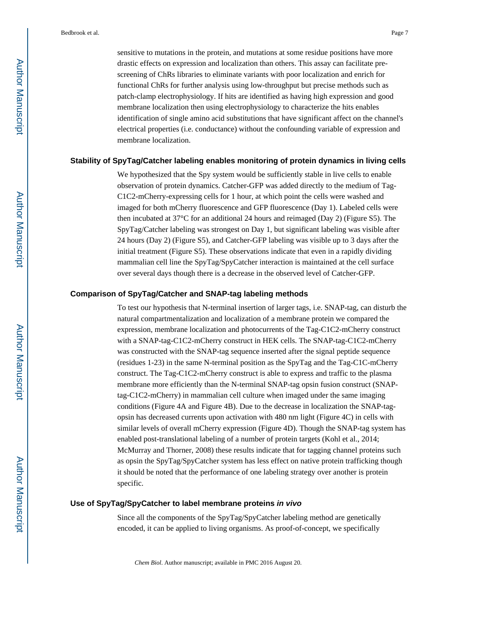sensitive to mutations in the protein, and mutations at some residue positions have more drastic effects on expression and localization than others. This assay can facilitate prescreening of ChRs libraries to eliminate variants with poor localization and enrich for functional ChRs for further analysis using low-throughput but precise methods such as patch-clamp electrophysiology. If hits are identified as having high expression and good membrane localization then using electrophysiology to characterize the hits enables identification of single amino acid substitutions that have significant affect on the channel's electrical properties (i.e. conductance) without the confounding variable of expression and membrane localization.

#### **Stability of SpyTag/Catcher labeling enables monitoring of protein dynamics in living cells**

We hypothesized that the Spy system would be sufficiently stable in live cells to enable observation of protein dynamics. Catcher-GFP was added directly to the medium of Tag-C1C2-mCherry-expressing cells for 1 hour, at which point the cells were washed and imaged for both mCherry fluorescence and GFP fluorescence (Day 1). Labeled cells were then incubated at 37°C for an additional 24 hours and reimaged (Day 2) (Figure S5). The SpyTag/Catcher labeling was strongest on Day 1, but significant labeling was visible after 24 hours (Day 2) (Figure S5), and Catcher-GFP labeling was visible up to 3 days after the initial treatment (Figure S5). These observations indicate that even in a rapidly dividing mammalian cell line the SpyTag/SpyCatcher interaction is maintained at the cell surface over several days though there is a decrease in the observed level of Catcher-GFP.

#### **Comparison of SpyTag/Catcher and SNAP-tag labeling methods**

To test our hypothesis that N-terminal insertion of larger tags, i.e. SNAP-tag, can disturb the natural compartmentalization and localization of a membrane protein we compared the expression, membrane localization and photocurrents of the Tag-C1C2-mCherry construct with a SNAP-tag-C1C2-mCherry construct in HEK cells. The SNAP-tag-C1C2-mCherry was constructed with the SNAP-tag sequence inserted after the signal peptide sequence (residues 1-23) in the same N-terminal position as the SpyTag and the Tag-C1C-mCherry construct. The Tag-C1C2-mCherry construct is able to express and traffic to the plasma membrane more efficiently than the N-terminal SNAP-tag opsin fusion construct (SNAPtag-C1C2-mCherry) in mammalian cell culture when imaged under the same imaging conditions (Figure 4A and Figure 4B). Due to the decrease in localization the SNAP-tagopsin has decreased currents upon activation with 480 nm light (Figure 4C) in cells with similar levels of overall mCherry expression (Figure 4D). Though the SNAP-tag system has enabled post-translational labeling of a number of protein targets (Kohl et al., 2014; McMurray and Thorner, 2008) these results indicate that for tagging channel proteins such as opsin the SpyTag/SpyCatcher system has less effect on native protein trafficking though it should be noted that the performance of one labeling strategy over another is protein specific.

#### **Use of SpyTag/SpyCatcher to label membrane proteins in vivo**

Since all the components of the SpyTag/SpyCatcher labeling method are genetically encoded, it can be applied to living organisms. As proof-of-concept, we specifically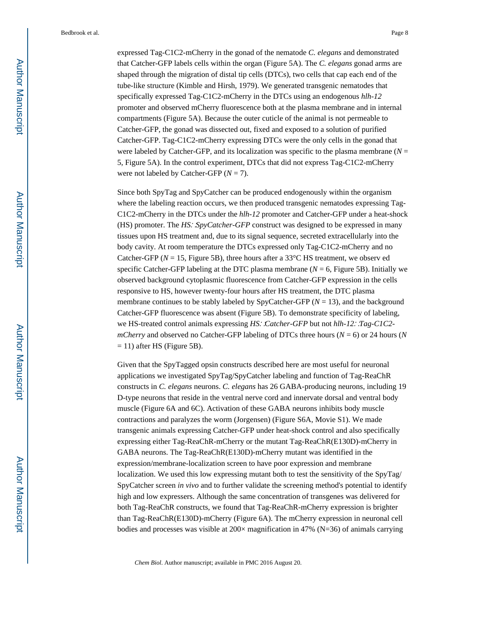expressed Tag-C1C2-mCherry in the gonad of the nematode *C. elegans* and demonstrated that Catcher-GFP labels cells within the organ (Figure 5A). The *C. elegans* gonad arms are shaped through the migration of distal tip cells (DTCs), two cells that cap each end of the tube-like structure (Kimble and Hirsh, 1979). We generated transgenic nematodes that specifically expressed Tag-C1C2-mCherry in the DTCs using an endogenous *hlh-12*  promoter and observed mCherry fluorescence both at the plasma membrane and in internal compartments (Figure 5A). Because the outer cuticle of the animal is not permeable to Catcher-GFP, the gonad was dissected out, fixed and exposed to a solution of purified Catcher-GFP. Tag-C1C2-mCherry expressing DTCs were the only cells in the gonad that were labeled by Catcher-GFP, and its localization was specific to the plasma membrane ( $N =$ 5, Figure 5A). In the control experiment, DTCs that did not express Tag-C1C2-mCherry were not labeled by Catcher-GFP (*N* = 7).

Since both SpyTag and SpyCatcher can be produced endogenously within the organism where the labeling reaction occurs, we then produced transgenic nematodes expressing Tag-C1C2-mCherry in the DTCs under the *hlh-12* promoter and Catcher-GFP under a heat-shock (HS) promoter. The *HS*∷*SpyCatcher-GFP* construct was designed to be expressed in many tissues upon HS treatment and, due to its signal sequence, secreted extracellularly into the body cavity. At room temperature the DTCs expressed only Tag-C1C2-mCherry and no Catcher-GFP ( $N = 15$ , Figure 5B), three hours after a 33<sup>o</sup>C HS treatment, we observ ed specific Catcher-GFP labeling at the DTC plasma membrane  $(N = 6, \text{ Figure 5B})$ . Initially we observed background cytoplasmic fluorescence from Catcher-GFP expression in the cells responsive to HS, however twenty-four hours after HS treatment, the DTC plasma membrane continues to be stably labeled by SpyCatcher-GFP ( $N = 13$ ), and the background Catcher-GFP fluorescence was absent (Figure 5B). To demonstrate specificity of labeling, we HS-treated control animals expressing *HS*∷*Catcher-GFP* but not *hlh-12*∷*Tag-C1C2 mCherry* and observed no Catcher-GFP labeling of DTCs three hours ( $N = 6$ ) or 24 hours (*N*  $= 11$ ) after HS (Figure 5B).

Given that the SpyTagged opsin constructs described here are most useful for neuronal applications we investigated SpyTag/SpyCatcher labeling and function of Tag-ReaChR constructs in *C. elegans* neurons. *C. elegans* has 26 GABA-producing neurons, including 19 D-type neurons that reside in the ventral nerve cord and innervate dorsal and ventral body muscle (Figure 6A and 6C). Activation of these GABA neurons inhibits body muscle contractions and paralyzes the worm (Jorgensen) (Figure S6A, Movie S1). We made transgenic animals expressing Catcher-GFP under heat-shock control and also specifically expressing either Tag-ReaChR-mCherry or the mutant Tag-ReaChR(E130D)-mCherry in GABA neurons. The Tag-ReaChR(E130D)-mCherry mutant was identified in the expression/membrane-localization screen to have poor expression and membrane localization. We used this low expressing mutant both to test the sensitivity of the SpyTag/ SpyCatcher screen *in vivo* and to further validate the screening method's potential to identify high and low expressers. Although the same concentration of transgenes was delivered for both Tag-ReaChR constructs, we found that Tag-ReaChR-mCherry expression is brighter than Tag-ReaChR(E130D)-mCherry (Figure 6A). The mCherry expression in neuronal cell bodies and processes was visible at  $200 \times$  magnification in 47% (N=36) of animals carrying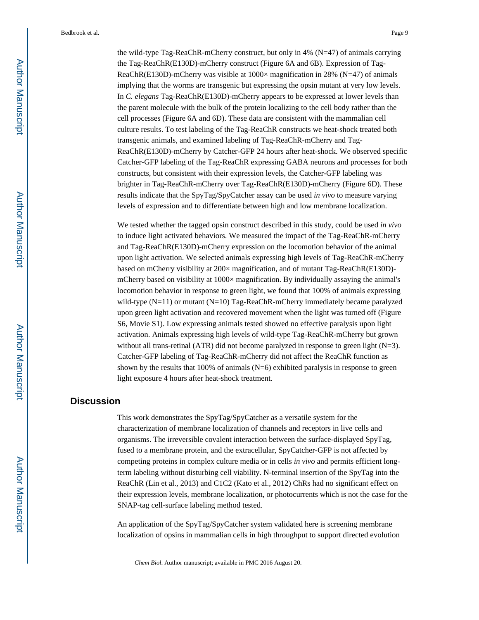the wild-type Tag-ReaChR-mCherry construct, but only in 4% (N=47) of animals carrying the Tag-ReaChR(E130D)-mCherry construct (Figure 6A and 6B). Expression of Tag-ReaChR(E130D)-mCherry was visible at  $1000 \times$  magnification in 28% (N=47) of animals implying that the worms are transgenic but expressing the opsin mutant at very low levels. In *C. elegans* Tag-ReaChR(E130D)-mCherry appears to be expressed at lower levels than the parent molecule with the bulk of the protein localizing to the cell body rather than the cell processes (Figure 6A and 6D). These data are consistent with the mammalian cell culture results. To test labeling of the Tag-ReaChR constructs we heat-shock treated both transgenic animals, and examined labeling of Tag-ReaChR-mCherry and Tag-ReaChR(E130D)-mCherry by Catcher-GFP 24 hours after heat-shock. We observed specific Catcher-GFP labeling of the Tag-ReaChR expressing GABA neurons and processes for both constructs, but consistent with their expression levels, the Catcher-GFP labeling was brighter in Tag-ReaChR-mCherry over Tag-ReaChR(E130D)-mCherry (Figure 6D). These results indicate that the SpyTag/SpyCatcher assay can be used *in vivo* to measure varying levels of expression and to differentiate between high and low membrane localization.

We tested whether the tagged opsin construct described in this study, could be used *in vivo*  to induce light activated behaviors. We measured the impact of the Tag-ReaChR-mCherry and Tag-ReaChR(E130D)-mCherry expression on the locomotion behavior of the animal upon light activation. We selected animals expressing high levels of Tag-ReaChR-mCherry based on mCherry visibility at 200× magnification, and of mutant Tag-ReaChR(E130D) mCherry based on visibility at 1000× magnification. By individually assaying the animal's locomotion behavior in response to green light, we found that 100% of animals expressing wild-type (N=11) or mutant (N=10) Tag-ReaChR-mCherry immediately became paralyzed upon green light activation and recovered movement when the light was turned off (Figure S6, Movie S1). Low expressing animals tested showed no effective paralysis upon light activation. Animals expressing high levels of wild-type Tag-ReaChR-mCherry but grown without all trans-retinal (ATR) did not become paralyzed in response to green light (N=3). Catcher-GFP labeling of Tag-ReaChR-mCherry did not affect the ReaChR function as shown by the results that  $100\%$  of animals (N=6) exhibited paralysis in response to green light exposure 4 hours after heat-shock treatment.

## **Discussion**

This work demonstrates the SpyTag/SpyCatcher as a versatile system for the characterization of membrane localization of channels and receptors in live cells and organisms. The irreversible covalent interaction between the surface-displayed SpyTag, fused to a membrane protein, and the extracellular, SpyCatcher-GFP is not affected by competing proteins in complex culture media or in cells *in vivo* and permits efficient longterm labeling without disturbing cell viability. N-terminal insertion of the SpyTag into the ReaChR (Lin et al., 2013) and C1C2 (Kato et al., 2012) ChRs had no significant effect on their expression levels, membrane localization, or photocurrents which is not the case for the SNAP-tag cell-surface labeling method tested.

An application of the SpyTag/SpyCatcher system validated here is screening membrane localization of opsins in mammalian cells in high throughput to support directed evolution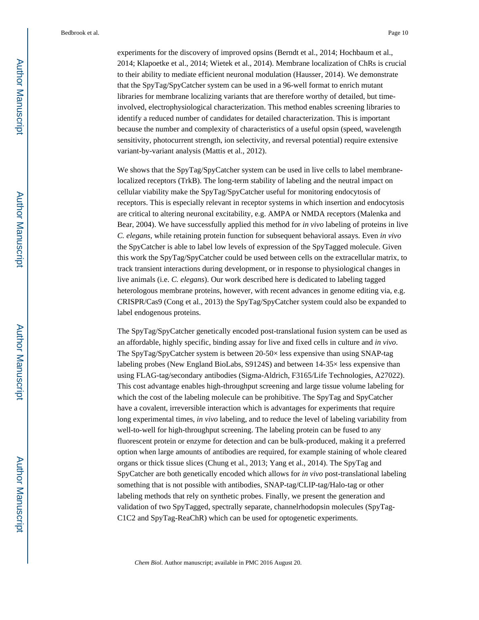experiments for the discovery of improved opsins (Berndt et al., 2014; Hochbaum et al., 2014; Klapoetke et al., 2014; Wietek et al., 2014). Membrane localization of ChRs is crucial to their ability to mediate efficient neuronal modulation (Hausser, 2014). We demonstrate that the SpyTag/SpyCatcher system can be used in a 96-well format to enrich mutant libraries for membrane localizing variants that are therefore worthy of detailed, but timeinvolved, electrophysiological characterization. This method enables screening libraries to identify a reduced number of candidates for detailed characterization. This is important because the number and complexity of characteristics of a useful opsin (speed, wavelength sensitivity, photocurrent strength, ion selectivity, and reversal potential) require extensive variant-by-variant analysis (Mattis et al., 2012).

We shows that the SpyTag/SpyCatcher system can be used in live cells to label membranelocalized receptors (TrkB). The long-term stability of labeling and the neutral impact on cellular viability make the SpyTag/SpyCatcher useful for monitoring endocytosis of receptors. This is especially relevant in receptor systems in which insertion and endocytosis are critical to altering neuronal excitability, e.g. AMPA or NMDA receptors (Malenka and Bear, 2004). We have successfully applied this method for *in vivo* labeling of proteins in live *C. elegans*, while retaining protein function for subsequent behavioral assays. Even *in vivo*  the SpyCatcher is able to label low levels of expression of the SpyTagged molecule. Given this work the SpyTag/SpyCatcher could be used between cells on the extracellular matrix, to track transient interactions during development, or in response to physiological changes in live animals (i.e. *C. elegans*). Our work described here is dedicated to labeling tagged heterologous membrane proteins, however, with recent advances in genome editing via, e.g. CRISPR/Cas9 (Cong et al., 2013) the SpyTag/SpyCatcher system could also be expanded to label endogenous proteins.

The SpyTag/SpyCatcher genetically encoded post-translational fusion system can be used as an affordable, highly specific, binding assay for live and fixed cells in culture and *in vivo*. The SpyTag/SpyCatcher system is between 20-50× less expensive than using SNAP-tag labeling probes (New England BioLabs, S9124S) and between 14-35× less expensive than using FLAG-tag/secondary antibodies (Sigma-Aldrich, F3165/Life Technologies, A27022). This cost advantage enables high-throughput screening and large tissue volume labeling for which the cost of the labeling molecule can be prohibitive. The SpyTag and SpyCatcher have a covalent, irreversible interaction which is advantages for experiments that require long experimental times, *in vivo* labeling, and to reduce the level of labeling variability from well-to-well for high-throughput screening. The labeling protein can be fused to any fluorescent protein or enzyme for detection and can be bulk-produced, making it a preferred option when large amounts of antibodies are required, for example staining of whole cleared organs or thick tissue slices (Chung et al., 2013; Yang et al., 2014). The SpyTag and SpyCatcher are both genetically encoded which allows for *in vivo* post-translational labeling something that is not possible with antibodies, SNAP-tag/CLIP-tag/Halo-tag or other labeling methods that rely on synthetic probes. Finally, we present the generation and validation of two SpyTagged, spectrally separate, channelrhodopsin molecules (SpyTag-C1C2 and SpyTag-ReaChR) which can be used for optogenetic experiments.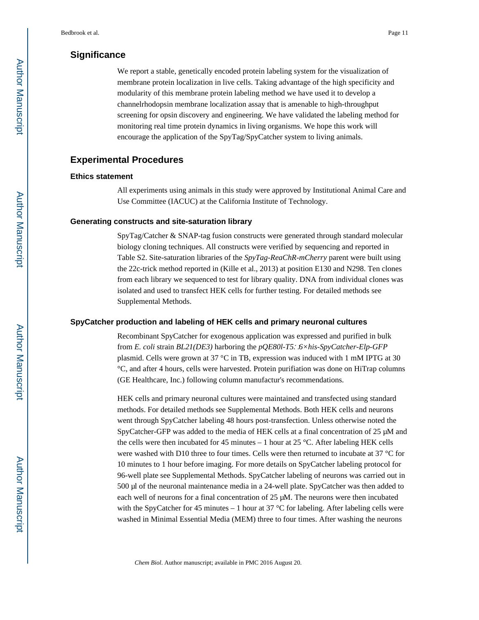## **Significance**

We report a stable, genetically encoded protein labeling system for the visualization of membrane protein localization in live cells. Taking advantage of the high specificity and modularity of this membrane protein labeling method we have used it to develop a channelrhodopsin membrane localization assay that is amenable to high-throughput screening for opsin discovery and engineering. We have validated the labeling method for monitoring real time protein dynamics in living organisms. We hope this work will encourage the application of the SpyTag/SpyCatcher system to living animals.

## **Experimental Procedures**

#### **Ethics statement**

All experiments using animals in this study were approved by Institutional Animal Care and Use Committee (IACUC) at the California Institute of Technology.

#### **Generating constructs and site-saturation library**

SpyTag/Catcher & SNAP-tag fusion constructs were generated through standard molecular biology cloning techniques. All constructs were verified by sequencing and reported in Table S2. Site-saturation libraries of the *SpyTag-ReaChR-mCherry* parent were built using the 22c-trick method reported in (Kille et al., 2013) at position E130 and N298. Ten clones from each library we sequenced to test for library quality. DNA from individual clones was isolated and used to transfect HEK cells for further testing. For detailed methods see Supplemental Methods.

#### **SpyCatcher production and labeling of HEK cells and primary neuronal cultures**

Recombinant SpyCatcher for exogenous application was expressed and purified in bulk from *E. coli* strain *BL21(DE3)* harboring the *pQE80l-T5*∷*6×his-SpyCatcher-Elp-GFP*  plasmid. Cells were grown at 37 °C in TB, expression was induced with 1 mM IPTG at 30 °C, and after 4 hours, cells were harvested. Protein purifiation was done on HiTrap columns (GE Healthcare, Inc.) following column manufactur's recommendations.

HEK cells and primary neuronal cultures were maintained and transfected using standard methods. For detailed methods see Supplemental Methods. Both HEK cells and neurons went through SpyCatcher labeling 48 hours post-transfection. Unless otherwise noted the SpyCatcher-GFP was added to the media of HEK cells at a final concentration of 25 μM and the cells were then incubated for 45 minutes – 1 hour at 25 °C. After labeling HEK cells were washed with D10 three to four times. Cells were then returned to incubate at 37 °C for 10 minutes to 1 hour before imaging. For more details on SpyCatcher labeling protocol for 96-well plate see Supplemental Methods. SpyCatcher labeling of neurons was carried out in 500 μl of the neuronal maintenance media in a 24-well plate. SpyCatcher was then added to each well of neurons for a final concentration of 25 μM. The neurons were then incubated with the SpyCatcher for 45 minutes – 1 hour at 37 °C for labeling. After labeling cells were washed in Minimal Essential Media (MEM) three to four times. After washing the neurons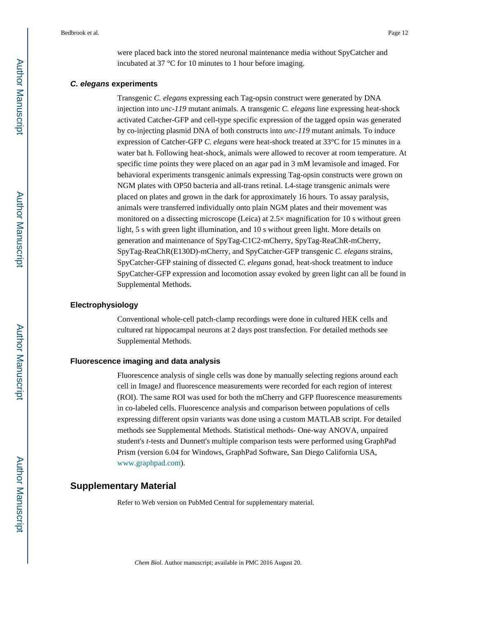were placed back into the stored neuronal maintenance media without SpyCatcher and incubated at 37 °C for 10 minutes to 1 hour before imaging.

#### **C. elegans experiments**

Transgenic *C. elegans* expressing each Tag-opsin construct were generated by DNA injection into *unc-119* mutant animals. A transgenic *C. elegans* line expressing heat-shock activated Catcher-GFP and cell-type specific expression of the tagged opsin was generated by co-injecting plasmid DNA of both constructs into *unc-119* mutant animals. To induce expression of Catcher-GFP *C. elegans* were heat-shock treated at 33°C for 15 minutes in a water bat h. Following heat-shock, animals were allowed to recover at room temperature. At specific time points they were placed on an agar pad in 3 mM levamisole and imaged. For behavioral experiments transgenic animals expressing Tag-opsin constructs were grown on NGM plates with OP50 bacteria and all-trans retinal. L4-stage transgenic animals were placed on plates and grown in the dark for approximately 16 hours. To assay paralysis, animals were transferred individually onto plain NGM plates and their movement was monitored on a dissecting microscope (Leica) at  $2.5\times$  magnification for 10 s without green light, 5 s with green light illumination, and 10 s without green light. More details on generation and maintenance of SpyTag-C1C2-mCherry, SpyTag-ReaChR-mCherry, SpyTag-ReaChR(E130D)-mCherry, and SpyCatcher-GFP transgenic *C. elegans* strains, SpyCatcher-GFP staining of dissected *C. elegans* gonad, heat-shock treatment to induce SpyCatcher-GFP expression and locomotion assay evoked by green light can all be found in Supplemental Methods.

#### **Electrophysiology**

Conventional whole-cell patch-clamp recordings were done in cultured HEK cells and cultured rat hippocampal neurons at 2 days post transfection. For detailed methods see Supplemental Methods.

#### **Fluorescence imaging and data analysis**

Fluorescence analysis of single cells was done by manually selecting regions around each cell in ImageJ and fluorescence measurements were recorded for each region of interest (ROI). The same ROI was used for both the mCherry and GFP fluorescence measurements in co-labeled cells. Fluorescence analysis and comparison between populations of cells expressing different opsin variants was done using a custom MATLAB script. For detailed methods see Supplemental Methods. Statistical methods- One-way ANOVA, unpaired student's *t*-tests and Dunnett's multiple comparison tests were performed using GraphPad Prism (version 6.04 for Windows, GraphPad Software, San Diego California USA, [www.graphpad.com](http://www.graphpad.com)).

## **Supplementary Material**

Refer to Web version on PubMed Central for supplementary material.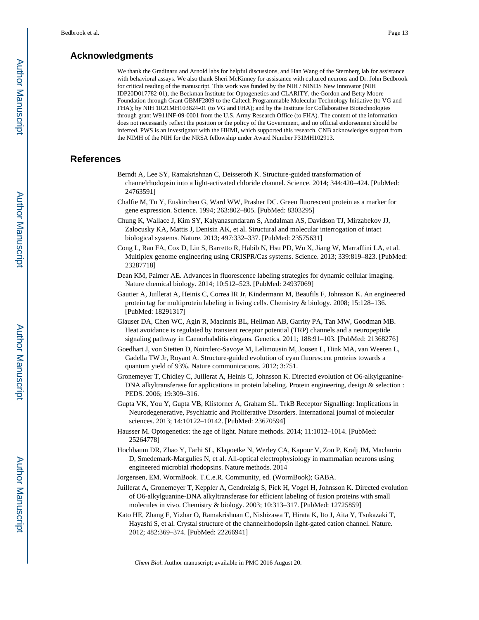## **Acknowledgments**

We thank the Gradinaru and Arnold labs for helpful discussions, and Han Wang of the Sternberg lab for assistance with behavioral assays. We also thank Sheri McKinney for assistance with cultured neurons and Dr. John Bedbrook for critical reading of the manuscript. This work was funded by the NIH / NINDS New Innovator (NIH IDP20D017782-01), the Beckman Institute for Optogenetics and CLARITY, the Gordon and Betty Moore Foundation through Grant GBMF2809 to the Caltech Programmable Molecular Technology Initiative (to VG and FHA); by NIH 1R21MH103824-01 (to VG and FHA); and by the Institute for Collaborative Biotechnologies through grant W911NF-09-0001 from the U.S. Army Research Office (to FHA). The content of the information does not necessarily reflect the position or the policy of the Government, and no official endorsement should be inferred. PWS is an investigator with the HHMI, which supported this research. CNB acknowledges support from the NIMH of the NIH for the NRSA fellowship under Award Number F31MH102913.

## **References**

- Berndt A, Lee SY, Ramakrishnan C, Deisseroth K. Structure-guided transformation of channelrhodopsin into a light-activated chloride channel. Science. 2014; 344:420–424. [PubMed: 24763591]
- Chalfie M, Tu Y, Euskirchen G, Ward WW, Prasher DC. Green fluorescent protein as a marker for gene expression. Science. 1994; 263:802–805. [PubMed: 8303295]
- Chung K, Wallace J, Kim SY, Kalyanasundaram S, Andalman AS, Davidson TJ, Mirzabekov JJ, Zalocusky KA, Mattis J, Denisin AK, et al. Structural and molecular interrogation of intact biological systems. Nature. 2013; 497:332–337. [PubMed: 23575631]
- Cong L, Ran FA, Cox D, Lin S, Barretto R, Habib N, Hsu PD, Wu X, Jiang W, Marraffini LA, et al. Multiplex genome engineering using CRISPR/Cas systems. Science. 2013; 339:819–823. [PubMed: 23287718]
- Dean KM, Palmer AE. Advances in fluorescence labeling strategies for dynamic cellular imaging. Nature chemical biology. 2014; 10:512–523. [PubMed: 24937069]
- Gautier A, Juillerat A, Heinis C, Correa IR Jr, Kindermann M, Beaufils F, Johnsson K. An engineered protein tag for multiprotein labeling in living cells. Chemistry & biology. 2008; 15:128–136. [PubMed: 18291317]
- Glauser DA, Chen WC, Agin R, Macinnis BL, Hellman AB, Garrity PA, Tan MW, Goodman MB. Heat avoidance is regulated by transient receptor potential (TRP) channels and a neuropeptide signaling pathway in Caenorhabditis elegans. Genetics. 2011; 188:91–103. [PubMed: 21368276]
- Goedhart J, von Stetten D, Noirclerc-Savoye M, Lelimousin M, Joosen L, Hink MA, van Weeren L, Gadella TW Jr, Royant A. Structure-guided evolution of cyan fluorescent proteins towards a quantum yield of 93%. Nature communications. 2012; 3:751.
- Gronemeyer T, Chidley C, Juillerat A, Heinis C, Johnsson K. Directed evolution of O6-alkylguanine-DNA alkyltransferase for applications in protein labeling. Protein engineering, design & selection : PEDS. 2006; 19:309–316.
- Gupta VK, You Y, Gupta VB, Klistorner A, Graham SL. TrkB Receptor Signalling: Implications in Neurodegenerative, Psychiatric and Proliferative Disorders. International journal of molecular sciences. 2013; 14:10122–10142. [PubMed: 23670594]
- Hausser M. Optogenetics: the age of light. Nature methods. 2014; 11:1012–1014. [PubMed: 25264778]
- Hochbaum DR, Zhao Y, Farhi SL, Klapoetke N, Werley CA, Kapoor V, Zou P, Kralj JM, Maclaurin D, Smedemark-Margulies N, et al. All-optical electrophysiology in mammalian neurons using engineered microbial rhodopsins. Nature methods. 2014
- Jorgensen, EM. WormBook. T.C.e.R. Community, ed. (WormBook); GABA.
- Juillerat A, Gronemeyer T, Keppler A, Gendreizig S, Pick H, Vogel H, Johnsson K. Directed evolution of O6-alkylguanine-DNA alkyltransferase for efficient labeling of fusion proteins with small molecules in vivo. Chemistry & biology. 2003; 10:313–317. [PubMed: 12725859]
- Kato HE, Zhang F, Yizhar O, Ramakrishnan C, Nishizawa T, Hirata K, Ito J, Aita Y, Tsukazaki T, Hayashi S, et al. Crystal structure of the channelrhodopsin light-gated cation channel. Nature. 2012; 482:369–374. [PubMed: 22266941]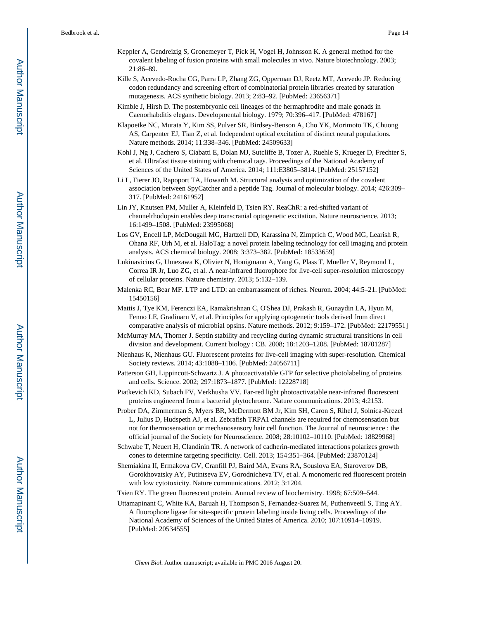- Keppler A, Gendreizig S, Gronemeyer T, Pick H, Vogel H, Johnsson K. A general method for the covalent labeling of fusion proteins with small molecules in vivo. Nature biotechnology. 2003; 21:86–89.
- Kille S, Acevedo-Rocha CG, Parra LP, Zhang ZG, Opperman DJ, Reetz MT, Acevedo JP. Reducing codon redundancy and screening effort of combinatorial protein libraries created by saturation mutagenesis. ACS synthetic biology. 2013; 2:83–92. [PubMed: 23656371]
- Kimble J, Hirsh D. The postembryonic cell lineages of the hermaphrodite and male gonads in Caenorhabditis elegans. Developmental biology. 1979; 70:396–417. [PubMed: 478167]
- Klapoetke NC, Murata Y, Kim SS, Pulver SR, Birdsey-Benson A, Cho YK, Morimoto TK, Chuong AS, Carpenter EJ, Tian Z, et al. Independent optical excitation of distinct neural populations. Nature methods. 2014; 11:338–346. [PubMed: 24509633]
- Kohl J, Ng J, Cachero S, Ciabatti E, Dolan MJ, Sutcliffe B, Tozer A, Ruehle S, Krueger D, Frechter S, et al. Ultrafast tissue staining with chemical tags. Proceedings of the National Academy of Sciences of the United States of America. 2014; 111:E3805–3814. [PubMed: 25157152]
- Li L, Fierer JO, Rapoport TA, Howarth M. Structural analysis and optimization of the covalent association between SpyCatcher and a peptide Tag. Journal of molecular biology. 2014; 426:309– 317. [PubMed: 24161952]
- Lin JY, Knutsen PM, Muller A, Kleinfeld D, Tsien RY. ReaChR: a red-shifted variant of channelrhodopsin enables deep transcranial optogenetic excitation. Nature neuroscience. 2013; 16:1499–1508. [PubMed: 23995068]
- Los GV, Encell LP, McDougall MG, Hartzell DD, Karassina N, Zimprich C, Wood MG, Learish R, Ohana RF, Urh M, et al. HaloTag: a novel protein labeling technology for cell imaging and protein analysis. ACS chemical biology. 2008; 3:373–382. [PubMed: 18533659]
- Lukinavicius G, Umezawa K, Olivier N, Honigmann A, Yang G, Plass T, Mueller V, Reymond L, Correa IR Jr, Luo ZG, et al. A near-infrared fluorophore for live-cell super-resolution microscopy of cellular proteins. Nature chemistry. 2013; 5:132–139.
- Malenka RC, Bear MF. LTP and LTD: an embarrassment of riches. Neuron. 2004; 44:5–21. [PubMed: 15450156]
- Mattis J, Tye KM, Ferenczi EA, Ramakrishnan C, O'Shea DJ, Prakash R, Gunaydin LA, Hyun M, Fenno LE, Gradinaru V, et al. Principles for applying optogenetic tools derived from direct comparative analysis of microbial opsins. Nature methods. 2012; 9:159–172. [PubMed: 22179551]
- McMurray MA, Thorner J. Septin stability and recycling during dynamic structural transitions in cell division and development. Current biology : CB. 2008; 18:1203–1208. [PubMed: 18701287]
- Nienhaus K, Nienhaus GU. Fluorescent proteins for live-cell imaging with super-resolution. Chemical Society reviews. 2014; 43:1088–1106. [PubMed: 24056711]
- Patterson GH, Lippincott-Schwartz J. A photoactivatable GFP for selective photolabeling of proteins and cells. Science. 2002; 297:1873–1877. [PubMed: 12228718]
- Piatkevich KD, Subach FV, Verkhusha VV. Far-red light photoactivatable near-infrared fluorescent proteins engineered from a bacterial phytochrome. Nature communications. 2013; 4:2153.
- Prober DA, Zimmerman S, Myers BR, McDermott BM Jr, Kim SH, Caron S, Rihel J, Solnica-Krezel L, Julius D, Hudspeth AJ, et al. Zebrafish TRPA1 channels are required for chemosensation but not for thermosensation or mechanosensory hair cell function. The Journal of neuroscience : the official journal of the Society for Neuroscience. 2008; 28:10102–10110. [PubMed: 18829968]
- Schwabe T, Neuert H, Clandinin TR. A network of cadherin-mediated interactions polarizes growth cones to determine targeting specificity. Cell. 2013; 154:351–364. [PubMed: 23870124]
- Shemiakina II, Ermakova GV, Cranfill PJ, Baird MA, Evans RA, Souslova EA, Staroverov DB, Gorokhovatsky AY, Putintseva EV, Gorodnicheva TV, et al. A monomeric red fluorescent protein with low cytotoxicity. Nature communications. 2012; 3:1204.

Tsien RY. The green fluorescent protein. Annual review of biochemistry. 1998; 67:509–544.

Uttamapinant C, White KA, Baruah H, Thompson S, Fernandez-Suarez M, Puthenveetil S, Ting AY. A fluorophore ligase for site-specific protein labeling inside living cells. Proceedings of the National Academy of Sciences of the United States of America. 2010; 107:10914–10919. [PubMed: 20534555]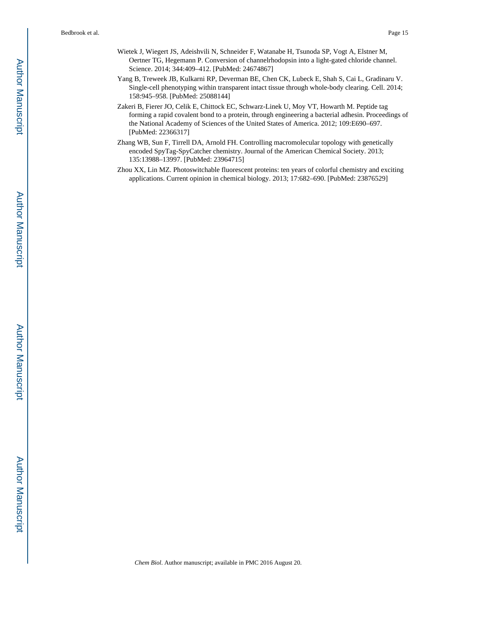- Wietek J, Wiegert JS, Adeishvili N, Schneider F, Watanabe H, Tsunoda SP, Vogt A, Elstner M, Oertner TG, Hegemann P. Conversion of channelrhodopsin into a light-gated chloride channel. Science. 2014; 344:409–412. [PubMed: 24674867]
- Yang B, Treweek JB, Kulkarni RP, Deverman BE, Chen CK, Lubeck E, Shah S, Cai L, Gradinaru V. Single-cell phenotyping within transparent intact tissue through whole-body clearing. Cell. 2014; 158:945–958. [PubMed: 25088144]
- Zakeri B, Fierer JO, Celik E, Chittock EC, Schwarz-Linek U, Moy VT, Howarth M. Peptide tag forming a rapid covalent bond to a protein, through engineering a bacterial adhesin. Proceedings of the National Academy of Sciences of the United States of America. 2012; 109:E690–697. [PubMed: 22366317]
- Zhang WB, Sun F, Tirrell DA, Arnold FH. Controlling macromolecular topology with genetically encoded SpyTag-SpyCatcher chemistry. Journal of the American Chemical Society. 2013; 135:13988–13997. [PubMed: 23964715]
- Zhou XX, Lin MZ. Photoswitchable fluorescent proteins: ten years of colorful chemistry and exciting applications. Current opinion in chemical biology. 2013; 17:682–690. [PubMed: 23876529]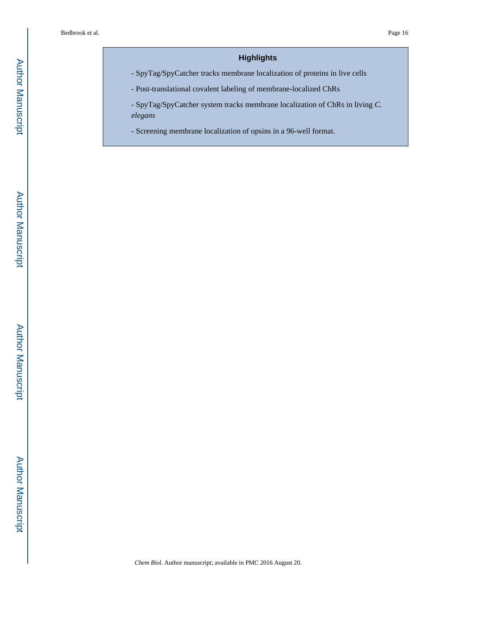## **Highlights**

- SpyTag/SpyCatcher tracks membrane localization of proteins in live cells

- Post-translational covalent labeling of membrane-localized ChRs

- SpyTag/SpyCatcher system tracks membrane localization of ChRs in living *C. elegans*

- Screening membrane localization of opsins in a 96-well format.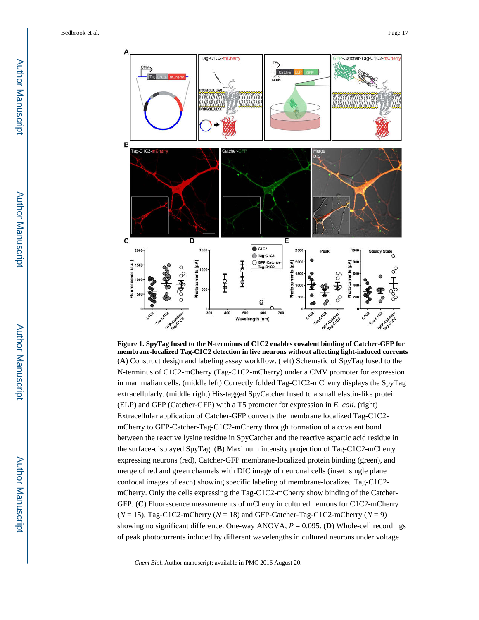

**Figure 1. SpyTag fused to the N-terminus of C1C2 enables covalent binding of Catcher-GFP for membrane-localized Tag-C1C2 detection in live neurons without affecting light-induced currents** (**A**) Construct design and labeling assay workflow. (left) Schematic of SpyTag fused to the N-terminus of C1C2-mCherry (Tag-C1C2-mCherry) under a CMV promoter for expression in mammalian cells. (middle left) Correctly folded Tag-C1C2-mCherry displays the SpyTag extracellularly. (middle right) His-tagged SpyCatcher fused to a small elastin-like protein (ELP) and GFP (Catcher-GFP) with a T5 promoter for expression in *E. coli*. (right) Extracellular application of Catcher-GFP converts the membrane localized Tag-C1C2 mCherry to GFP-Catcher-Tag-C1C2-mCherry through formation of a covalent bond between the reactive lysine residue in SpyCatcher and the reactive aspartic acid residue in the surface-displayed SpyTag. (**B**) Maximum intensity projection of Tag-C1C2-mCherry expressing neurons (red), Catcher-GFP membrane-localized protein binding (green), and merge of red and green channels with DIC image of neuronal cells (inset: single plane confocal images of each) showing specific labeling of membrane-localized Tag-C1C2 mCherry. Only the cells expressing the Tag-C1C2-mCherry show binding of the Catcher-GFP. (**C**) Fluorescence measurements of mCherry in cultured neurons for C1C2-mCherry  $(N = 15)$ , Tag-C1C2-mCherry  $(N = 18)$  and GFP-Catcher-Tag-C1C2-mCherry  $(N = 9)$ showing no significant difference. One-way ANOVA,  $P = 0.095$ . (**D**) Whole-cell recordings of peak photocurrents induced by different wavelengths in cultured neurons under voltage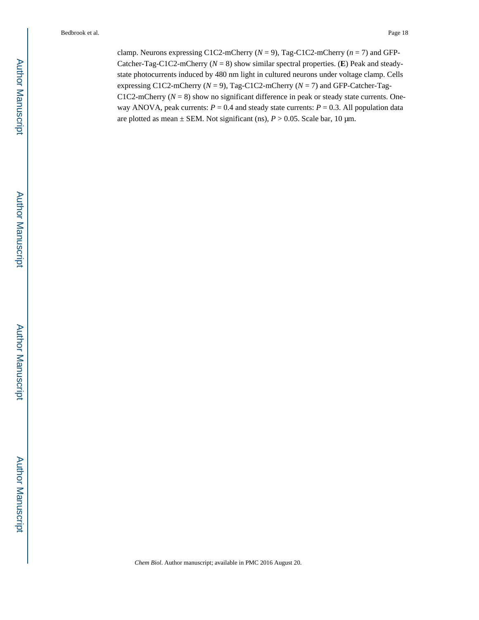clamp. Neurons expressing C1C2-mCherry ( $N = 9$ ), Tag-C1C2-mCherry ( $n = 7$ ) and GFP-Catcher-Tag-C1C2-mCherry ( $N = 8$ ) show similar spectral properties. (**E**) Peak and steadystate photocurrents induced by 480 nm light in cultured neurons under voltage clamp. Cells expressing C1C2-mCherry (*N* = 9), Tag-C1C2-mCherry (*N* = 7) and GFP-Catcher-Tag-C1C2-mCherry ( $N = 8$ ) show no significant difference in peak or steady state currents. Oneway ANOVA, peak currents:  $P = 0.4$  and steady state currents:  $P = 0.3$ . All population data are plotted as mean  $\pm$  SEM. Not significant (ns),  $P > 0.05$ . Scale bar, 10  $\mu$ m.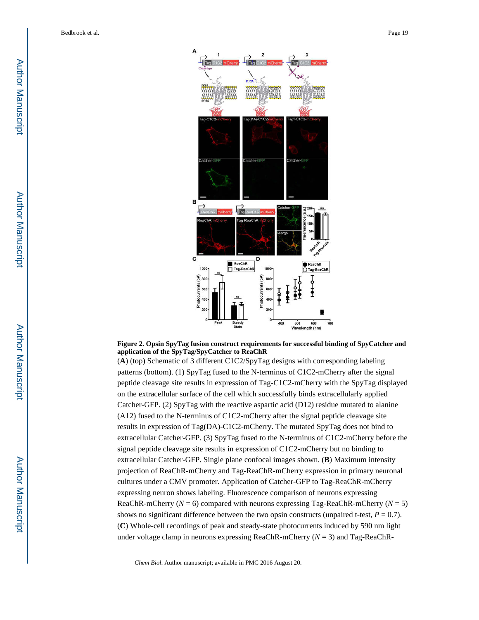

#### **Figure 2. Opsin SpyTag fusion construct requirements for successful binding of SpyCatcher and application of the SpyTag/SpyCatcher to ReaChR**

(**A**) (top) Schematic of 3 different C1C2/SpyTag designs with corresponding labeling patterns (bottom). (1) SpyTag fused to the N-terminus of C1C2-mCherry after the signal peptide cleavage site results in expression of Tag-C1C2-mCherry with the SpyTag displayed on the extracellular surface of the cell which successfully binds extracellularly applied Catcher-GFP. (2) SpyTag with the reactive aspartic acid (D12) residue mutated to alanine (A12) fused to the N-terminus of C1C2-mCherry after the signal peptide cleavage site results in expression of Tag(DA)-C1C2-mCherry. The mutated SpyTag does not bind to extracellular Catcher-GFP. (3) SpyTag fused to the N-terminus of C1C2-mCherry before the signal peptide cleavage site results in expression of C1C2-mCherry but no binding to extracellular Catcher-GFP. Single plane confocal images shown. (**B**) Maximum intensity projection of ReaChR-mCherry and Tag-ReaChR-mCherry expression in primary neuronal cultures under a CMV promoter. Application of Catcher-GFP to Tag-ReaChR-mCherry expressing neuron shows labeling. Fluorescence comparison of neurons expressing ReaChR-mCherry ( $N = 6$ ) compared with neurons expressing Tag-ReaChR-mCherry ( $N = 5$ ) shows no significant difference between the two opsin constructs (unpaired t-test,  $P = 0.7$ ). (**C**) Whole-cell recordings of peak and steady-state photocurrents induced by 590 nm light under voltage clamp in neurons expressing ReaChR-mCherry (*N* = 3) and Tag-ReaChR-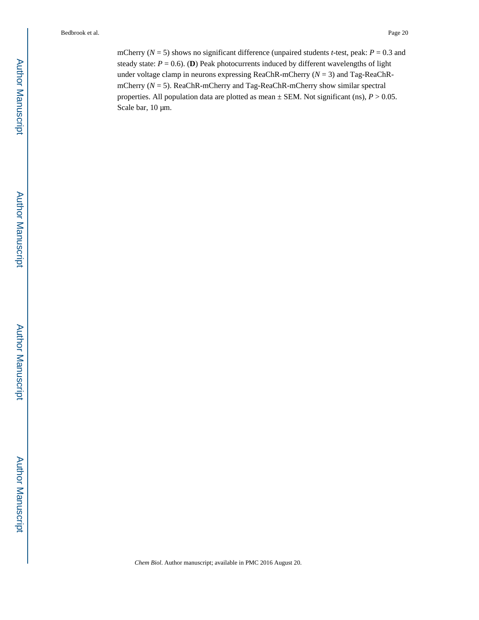mCherry ( $N = 5$ ) shows no significant difference (unpaired students *t*-test, peak:  $P = 0.3$  and steady state:  $P = 0.6$ ). (**D**) Peak photocurrents induced by different wavelengths of light under voltage clamp in neurons expressing ReaChR-mCherry (*N* = 3) and Tag-ReaChRmCherry (*N* = 5). ReaChR-mCherry and Tag-ReaChR-mCherry show similar spectral properties. All population data are plotted as mean ± SEM. Not significant (ns), *P* > 0.05. Scale bar, 10 μm.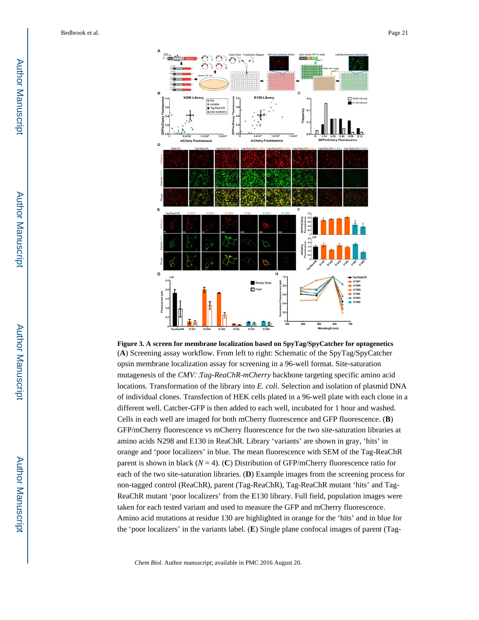

**Figure 3. A screen for membrane localization based on SpyTag/SpyCatcher for optogenetics** (**A**) Screening assay workflow. From left to right: Schematic of the SpyTag/SpyCatcher opsin membrane localization assay for screening in a 96-well format. Site-saturation mutagenesis of the *CMV*∷*Tag-ReaChR-mCherry* backbone targeting specific amino acid locations. Transformation of the library into *E. coli*. Selection and isolation of plasmid DNA of individual clones. Transfection of HEK cells plated in a 96-well plate with each clone in a different well. Catcher-GFP is then added to each well, incubated for 1 hour and washed. Cells in each well are imaged for both mCherry fluorescence and GFP fluorescence. (**B**) GFP/mCherry fluorescence vs mCherry fluorescence for the two site-saturation libraries at amino acids N298 and E130 in ReaChR. Library 'variants' are shown in gray, 'hits' in orange and 'poor localizers' in blue. The mean fluorescence with SEM of the Tag-ReaChR parent is shown in black  $(N = 4)$ . (C) Distribution of GFP/mCherry fluorescence ratio for each of the two site-saturation libraries. (**D**) Example images from the screening process for non-tagged control (ReaChR), parent (Tag-ReaChR), Tag-ReaChR mutant 'hits' and Tag-ReaChR mutant 'poor localizers' from the E130 library. Full field, population images were taken for each tested variant and used to measure the GFP and mCherry fluorescence. Amino acid mutations at residue 130 are highlighted in orange for the 'hits' and in blue for the 'poor localizers' in the variants label. (**E**) Single plane confocal images of parent (Tag-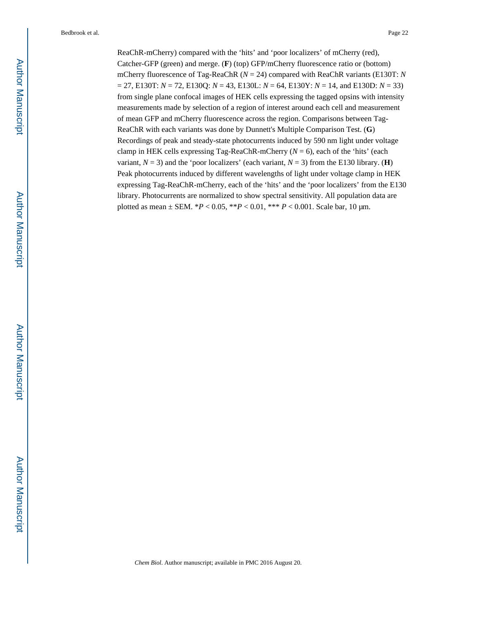ReaChR-mCherry) compared with the 'hits' and 'poor localizers' of mCherry (red), Catcher-GFP (green) and merge. (**F**) (top) GFP/mCherry fluorescence ratio or (bottom) mCherry fluorescence of Tag-ReaChR (*N* = 24) compared with ReaChR variants (E130T: *N*  = 27, E130T: *N* = 72, E130Q: *N* = 43, E130L: *N* = 64, E130Y: *N* = 14, and E130D: *N* = 33) from single plane confocal images of HEK cells expressing the tagged opsins with intensity measurements made by selection of a region of interest around each cell and measurement of mean GFP and mCherry fluorescence across the region. Comparisons between Tag-ReaChR with each variants was done by Dunnett's Multiple Comparison Test. (**G**) Recordings of peak and steady-state photocurrents induced by 590 nm light under voltage clamp in HEK cells expressing Tag-ReaChR-mCherry  $(N = 6)$ , each of the 'hits' (each variant,  $N = 3$ ) and the 'poor localizers' (each variant,  $N = 3$ ) from the E130 library. (**H**) Peak photocurrents induced by different wavelengths of light under voltage clamp in HEK expressing Tag-ReaChR-mCherry, each of the 'hits' and the 'poor localizers' from the E130 library. Photocurrents are normalized to show spectral sensitivity. All population data are plotted as mean ± SEM. \**P* < 0.05, \*\**P* < 0.01, \*\*\* *P* < 0.001. Scale bar, 10 μm.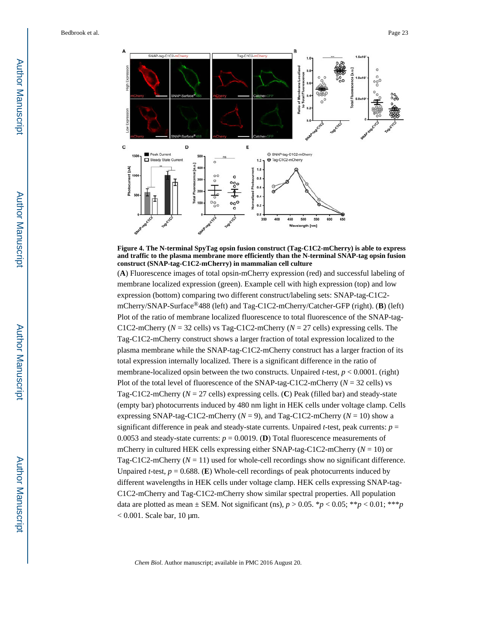

**Figure 4. The N-terminal SpyTag opsin fusion construct (Tag-C1C2-mCherry) is able to express and traffic to the plasma membrane more efficiently than the N-terminal SNAP-tag opsin fusion construct (SNAP-tag-C1C2-mCherry) in mammalian cell culture**

(**A**) Fluorescence images of total opsin-mCherry expression (red) and successful labeling of membrane localized expression (green). Example cell with high expression (top) and low expression (bottom) comparing two different construct/labeling sets: SNAP-tag-C1C2 mCherry/SNAP-Surface®488 (left) and Tag-C1C2-mCherry/Catcher-GFP (right). (**B**) (left) Plot of the ratio of membrane localized fluorescence to total fluorescence of the SNAP-tag-C1C2-mCherry ( $N = 32$  cells) vs Tag-C1C2-mCherry ( $N = 27$  cells) expressing cells. The Tag-C1C2-mCherry construct shows a larger fraction of total expression localized to the plasma membrane while the SNAP-tag-C1C2-mCherry construct has a larger fraction of its total expression internally localized. There is a significant difference in the ratio of membrane-localized opsin between the two constructs. Unpaired *t*-test,  $p < 0.0001$ . (right) Plot of the total level of fluorescence of the SNAP-tag-C1C2-mCherry (*N* = 32 cells) vs Tag-C1C2-mCherry (*N* = 27 cells) expressing cells. (**C**) Peak (filled bar) and steady-state (empty bar) photocurrents induced by 480 nm light in HEK cells under voltage clamp. Cells expressing SNAP-tag-C1C2-mCherry  $(N = 9)$ , and Tag-C1C2-mCherry  $(N = 10)$  show a significant difference in peak and steady-state currents. Unpaired *t*-test, peak currents:  $p =$ 0.0053 and steady-state currents:  $p = 0.0019$ . (**D**) Total fluorescence measurements of mCherry in cultured HEK cells expressing either SNAP-tag-C1C2-mCherry (*N* = 10) or Tag-C1C2-mCherry  $(N = 11)$  used for whole-cell recordings show no significant difference. Unpaired *t*-test,  $p = 0.688$ . (**E**) Whole-cell recordings of peak photocurrents induced by different wavelengths in HEK cells under voltage clamp. HEK cells expressing SNAP-tag-C1C2-mCherry and Tag-C1C2-mCherry show similar spectral properties. All population data are plotted as mean  $\pm$  SEM. Not significant (ns),  $p > 0.05$ . \* $p < 0.05$ ; \*\* $p < 0.01$ ; \*\*\* $p$  $< 0.001$ . Scale bar, 10 μm.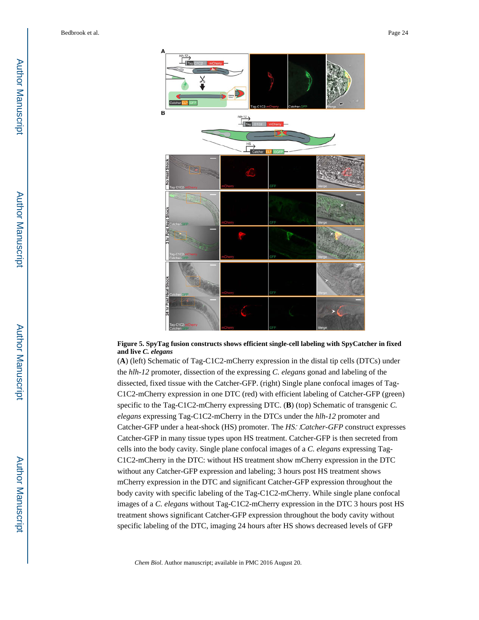

#### **Figure 5. SpyTag fusion constructs shows efficient single-cell labeling with SpyCatcher in fixed and live** *C. elegans*

(**A**) (left) Schematic of Tag-C1C2-mCherry expression in the distal tip cells (DTCs) under the *hlh-12* promoter, dissection of the expressing *C. elegans* gonad and labeling of the dissected, fixed tissue with the Catcher-GFP. (right) Single plane confocal images of Tag-C1C2-mCherry expression in one DTC (red) with efficient labeling of Catcher-GFP (green) specific to the Tag-C1C2-mCherry expressing DTC. (**B**) (top) Schematic of transgenic *C. elegans* expressing Tag-C1C2-mCherry in the DTCs under the *hlh-12* promoter and Catcher-GFP under a heat-shock (HS) promoter. The *HS*∷*Catcher-GFP* construct expresses Catcher-GFP in many tissue types upon HS treatment. Catcher-GFP is then secreted from cells into the body cavity. Single plane confocal images of a *C. elegans* expressing Tag-C1C2-mCherry in the DTC: without HS treatment show mCherry expression in the DTC without any Catcher-GFP expression and labeling; 3 hours post HS treatment shows mCherry expression in the DTC and significant Catcher-GFP expression throughout the body cavity with specific labeling of the Tag-C1C2-mCherry. While single plane confocal images of a *C. elegans* without Tag-C1C2-mCherry expression in the DTC 3 hours post HS treatment shows significant Catcher-GFP expression throughout the body cavity without specific labeling of the DTC, imaging 24 hours after HS shows decreased levels of GFP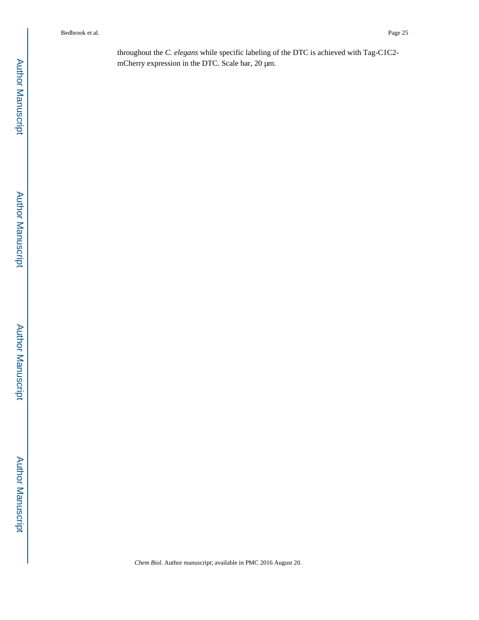throughout the *C. elegans* while specific labeling of the DTC is achieved with Tag-C1C2 mCherry expression in the DTC. Scale bar, 20 μm.